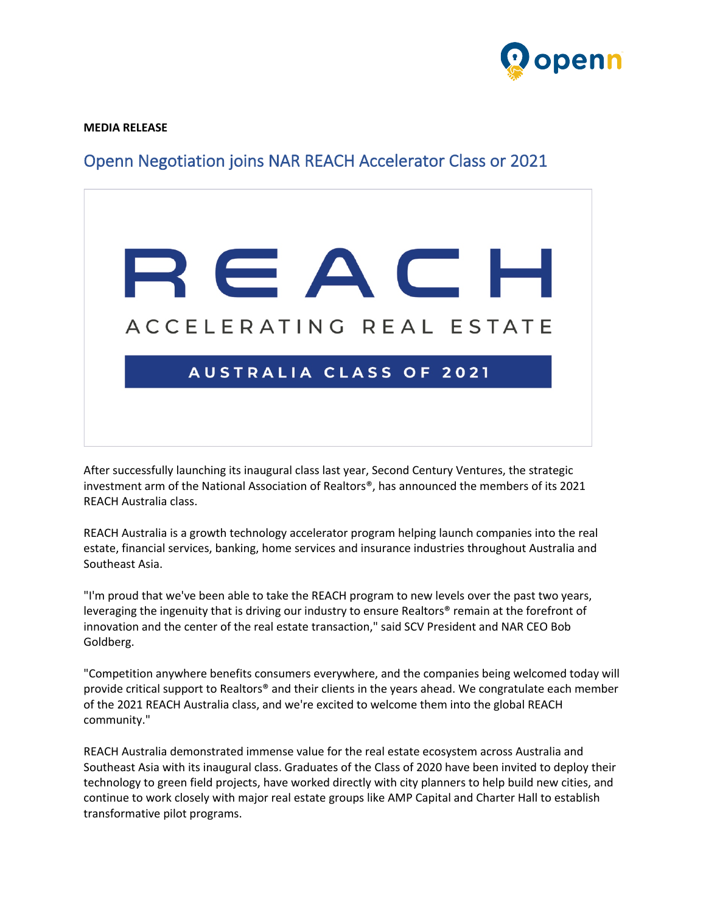

**MEDIA RELEASE**

## Openn Negotiation joins NAR REACH Accelerator Class or 2021



After successfully launching its inaugural class last year, Second Century Ventures, the strategic investment arm of the National Association of Realtors®, has announced the members of its 2021 REACH Australia class.

REACH Australia is a growth technology accelerator program helping launch companies into the real estate, financial services, banking, home services and insurance industries throughout Australia and Southeast Asia.

"I'm proud that we've been able to take the REACH program to new levels over the past two years, leveraging the ingenuity that is driving our industry to ensure Realtors® remain at the forefront of innovation and the center of the real estate transaction," said SCV President and NAR CEO Bob Goldberg.

"Competition anywhere benefits consumers everywhere, and the companies being welcomed today will provide critical support to Realtors® and their clients in the years ahead. We congratulate each member of the 2021 REACH Australia class, and we're excited to welcome them into the global REACH community."

REACH Australia demonstrated immense value for the real estate ecosystem across Australia and Southeast Asia with its inaugural class. Graduates of the Class of 2020 have been invited to deploy their technology to green field projects, have worked directly with city planners to help build new cities, and continue to work closely with major real estate groups like AMP Capital and Charter Hall to establish transformative pilot programs.